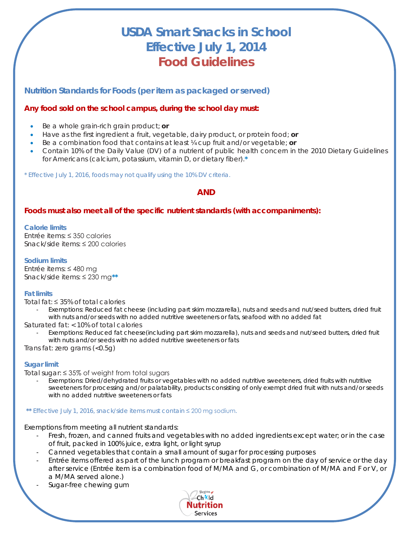# **USDA Smart Snacks in School Effective July 1, 2014 Food Guidelines**

**Nutrition Standards for Foods (per item as packaged or served)**

## **Any food sold on the school campus, during the school day must:**

- Be a whole grain-rich grain product; **or**
- Have as the first ingredient a fruit, vegetable, dairy product, or protein food; **or**
- Be a combination food that contains at least ¼ cup fruit and/or vegetable; **or**
- Contain 10% of the Daily Value (DV) of a nutrient of public health concern in the *2010 Dietary Guidelines for Americans* (calcium, potassium, vitamin D, or dietary fiber).**\***

\* Effective July 1, 2016, foods may not qualify using the 10% DV criteria.

# **AND**

## **Foods must also meet all of the specific nutrient standards (with accompaniments):**

#### **Calorie limits**

Entrée items: ≤ 350 calories Snack/side items: ≤ 200 calories

#### **Sodium limits**

Entrée items: ≤ 480 mg Snack/side items: ≤ 230 mg**\*\***

### **Fat limits**

Total fat: ≤ 35% of total calories

- *Exemptions: Reduced fat cheese (including part skim mozzarella), nuts and seeds and nut/seed butters, dried fruit with nuts and/or seeds with no added nutritive sweeteners or fats, seafood with no added fat*
- Saturated fat: < 10% of total calories
	- *Exemptions: Reduced fat cheese(including part skim mozzarella), nuts and seeds and nut/seed butters, dried fruit with nuts and/or seeds with no added nutritive sweeteners or fats*

Trans fat: zero grams (<0.5g)

### **Sugar limit**

Total sugar: ≤ 35% of weight from total sugars

- *Exemptions: Dried/dehydrated fruits or vegetables with no added nutritive sweeteners, dried fruits with nutritive sweeteners for processing and/or palatability, products consisting of only exempt dried fruit with nuts and/or seeds with no added nutritive sweeteners or fats*

#### **\*\*** Effective July 1, 2016, snack/side items must contain ≤ 200 mg sodium.

*Exemptions from meeting all nutrient standards:* 

- *Fresh, frozen, and canned fruits and vegetables with no added ingredients except water; or in the case of fruit, packed in 100% juice, extra light, or light syrup*
- *Canned vegetables that contain a small amount of sugar for processing purposes*
- *Entrée items offered as part of the lunch program or breakfast program on the day of service or the day after service (Entrée item is a combination food of M/MA and G, or combination of M/MA and F or V, or a M/MA served alone.)*
- *Sugar-free chewing gum*